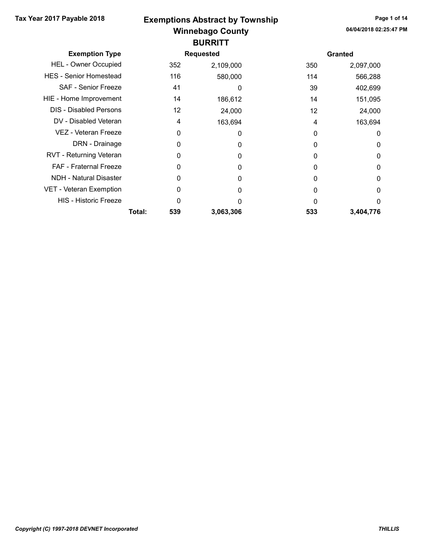## Winnebago County Tax Year 2017 Payable 2018 **Exemptions Abstract by Township** Page 1 of 14 **BURRITT**

| <b>Exemption Type</b>         |        |     | <b>Requested</b> |     | <b>Granted</b> |
|-------------------------------|--------|-----|------------------|-----|----------------|
| <b>HEL - Owner Occupied</b>   |        | 352 | 2,109,000        | 350 | 2,097,000      |
| <b>HES - Senior Homestead</b> |        | 116 | 580,000          | 114 | 566,288        |
| <b>SAF - Senior Freeze</b>    |        | 41  | 0                | 39  | 402,699        |
| HIE - Home Improvement        |        | 14  | 186,612          | 14  | 151,095        |
| <b>DIS - Disabled Persons</b> |        | 12  | 24,000           | 12  | 24,000         |
| DV - Disabled Veteran         |        | 4   | 163,694          | 4   | 163,694        |
| <b>VEZ - Veteran Freeze</b>   |        | 0   | 0                | 0   | 0              |
| DRN - Drainage                |        | 0   | 0                |     | 0              |
| RVT - Returning Veteran       |        | 0   | $\Omega$         | 0   | 0              |
| <b>FAF - Fraternal Freeze</b> |        |     | $\Omega$         | 0   | 0              |
| <b>NDH - Natural Disaster</b> |        | 0   | $\Omega$         | 0   | 0              |
| VET - Veteran Exemption       |        | 0   | 0                | 0   | 0              |
| <b>HIS - Historic Freeze</b>  |        | 0   | 0                | 0   | $\Omega$       |
|                               | Total: | 539 | 3,063,306        | 533 | 3,404,776      |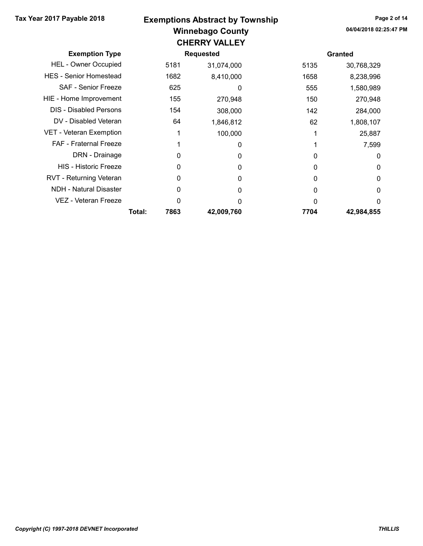#### Winnebago County Tax Year 2017 Payable 2018 **Exemptions Abstract by Township** Page 2 of 14 CHEDDV VALLEY

|                                |        |      | <u>UNERRI VALLEI</u> |      |                |
|--------------------------------|--------|------|----------------------|------|----------------|
| <b>Exemption Type</b>          |        |      | <b>Requested</b>     |      | <b>Granted</b> |
| <b>HEL - Owner Occupied</b>    |        | 5181 | 31,074,000           | 5135 | 30,768,329     |
| <b>HES</b> - Senior Homestead  |        | 1682 | 8,410,000            | 1658 | 8,238,996      |
| <b>SAF - Senior Freeze</b>     |        | 625  | 0                    | 555  | 1,580,989      |
| HIE - Home Improvement         |        | 155  | 270,948              | 150  | 270,948        |
| <b>DIS - Disabled Persons</b>  |        | 154  | 308,000              | 142  | 284,000        |
| DV - Disabled Veteran          |        | 64   | 1,846,812            | 62   | 1,808,107      |
| <b>VET - Veteran Exemption</b> |        |      | 100,000              |      | 25,887         |
| FAF - Fraternal Freeze         |        |      | 0                    |      | 7,599          |
| DRN - Drainage                 |        | 0    | 0                    |      | 0              |
| <b>HIS - Historic Freeze</b>   |        | 0    | 0                    | 0    | 0              |
| RVT - Returning Veteran        |        | 0    | 0                    | U    | 0              |
| NDH - Natural Disaster         |        | 0    | 0                    | O    | 0              |
| VEZ - Veteran Freeze           |        | ი    | O                    |      | 0              |
|                                | Total: | 7863 | 42,009,760           | 7704 | 42,984,855     |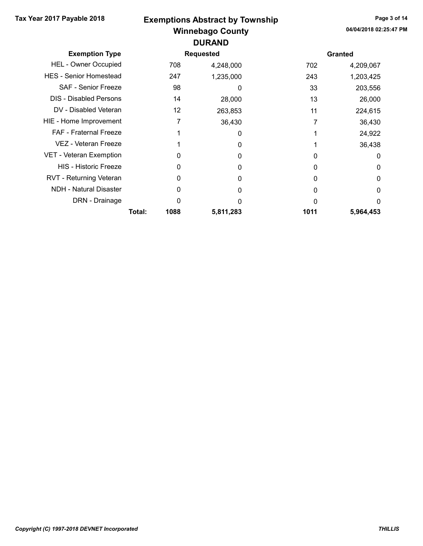## Winnebago County Tax Year 2017 Payable 2018 **Exemptions Abstract by Township** Page 3 of 14 DURAND

| <b>Exemption Type</b>          |        |      | <b>Requested</b> |      | <b>Granted</b> |
|--------------------------------|--------|------|------------------|------|----------------|
| <b>HEL - Owner Occupied</b>    |        | 708  | 4,248,000        | 702  | 4,209,067      |
| <b>HES</b> - Senior Homestead  |        | 247  | 1,235,000        | 243  | 1,203,425      |
| <b>SAF - Senior Freeze</b>     |        | 98   | 0                | 33   | 203,556        |
| <b>DIS - Disabled Persons</b>  |        | 14   | 28,000           | 13   | 26,000         |
| DV - Disabled Veteran          |        | 12   | 263,853          | 11   | 224,615        |
| HIE - Home Improvement         |        | 7    | 36,430           |      | 36,430         |
| <b>FAF</b> - Fraternal Freeze  |        |      | 0                |      | 24,922         |
| VEZ - Veteran Freeze           |        |      | 0                |      | 36,438         |
| <b>VET - Veteran Exemption</b> |        | ი    | 0                | O    | 0              |
| <b>HIS - Historic Freeze</b>   |        |      | O                | O    | 0              |
| RVT - Returning Veteran        |        | 0    | 0                | O    | 0              |
| <b>NDH - Natural Disaster</b>  |        |      | O                |      | 0              |
| DRN - Drainage                 |        | ი    | O                |      | 0              |
|                                | Total: | 1088 | 5,811,283        | 1011 | 5,964,453      |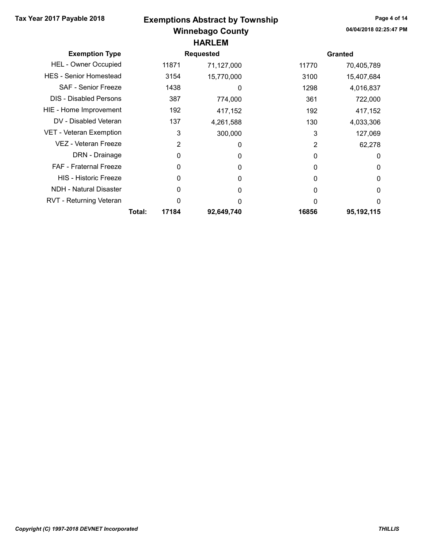# Winnebago County Tax Year 2017 Payable 2018 **Exemptions Abstract by Township** Page 4 of 14 HARLEM

| <b>Exemption Type</b>         |        | <b>Requested</b> |            |          | <b>Granted</b> |
|-------------------------------|--------|------------------|------------|----------|----------------|
| <b>HEL - Owner Occupied</b>   |        | 11871            | 71,127,000 | 11770    | 70,405,789     |
| <b>HES - Senior Homestead</b> |        | 3154             | 15,770,000 | 3100     | 15,407,684     |
| <b>SAF - Senior Freeze</b>    |        | 1438             | 0          | 1298     | 4,016,837      |
| <b>DIS - Disabled Persons</b> |        | 387              | 774,000    | 361      | 722,000        |
| HIE - Home Improvement        |        | 192              | 417,152    | 192      | 417,152        |
| DV - Disabled Veteran         |        | 137              | 4,261,588  | 130      | 4,033,306      |
| VET - Veteran Exemption       |        | 3                | 300,000    | 3        | 127,069        |
| VEZ - Veteran Freeze          |        | 2                | 0          | 2        | 62,278         |
| DRN - Drainage                |        | 0                | 0          | $\Omega$ | 0              |
| <b>FAF - Fraternal Freeze</b> |        | 0                | $\Omega$   | O        | 0              |
| <b>HIS - Historic Freeze</b>  |        | 0                | 0          | 0        | 0              |
| <b>NDH - Natural Disaster</b> |        |                  | 0          | 0        | 0              |
| RVT - Returning Veteran       |        | 0                | 0          | O        | 0              |
|                               | Total: | 17184            | 92,649,740 | 16856    | 95,192,115     |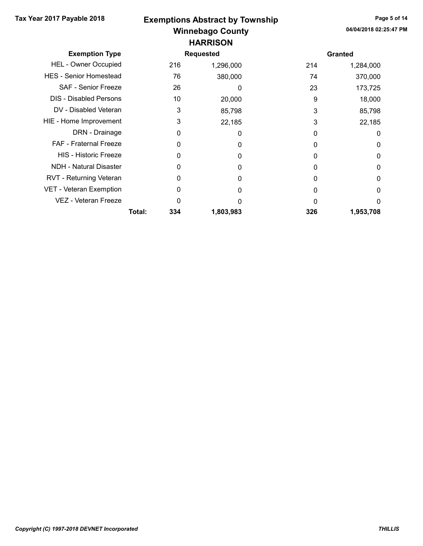# Winnebago County Tax Year 2017 Payable 2018 **Exemptions Abstract by Township** Page 5 of 14 **HARRISON**

| <b>Exemption Type</b>         |        |     | <b>Requested</b> |              | <b>Granted</b> |
|-------------------------------|--------|-----|------------------|--------------|----------------|
| <b>HEL - Owner Occupied</b>   |        | 216 | 1,296,000        | 214          | 1,284,000      |
| <b>HES - Senior Homestead</b> |        | 76  | 380,000          | 74           | 370,000        |
| <b>SAF - Senior Freeze</b>    |        | 26  | 0                | 23           | 173,725        |
| <b>DIS - Disabled Persons</b> |        | 10  | 20,000           | 9            | 18,000         |
| DV - Disabled Veteran         |        | 3   | 85,798           | 3            | 85,798         |
| HIE - Home Improvement        |        | 3   | 22,185           | 3            | 22,185         |
| DRN - Drainage                |        | 0   | 0                | 0            | 0              |
| <b>FAF</b> - Fraternal Freeze |        | O   | 0                | 0            | 0              |
| <b>HIS - Historic Freeze</b>  |        | 0   | 0                | 0            | 0              |
| <b>NDH - Natural Disaster</b> |        |     | 0                | 0            | 0              |
| RVT - Returning Veteran       |        | 0   | 0                | 0            | 0              |
| VET - Veteran Exemption       |        |     | 0                | 0            | 0              |
| VEZ - Veteran Freeze          |        |     | O                | <sup>0</sup> | 0              |
|                               | Total: | 334 | 1,803,983        | 326          | 1,953,708      |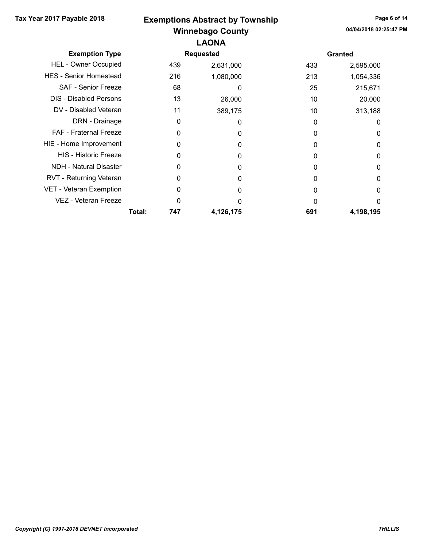## Winnebago County Tax Year 2017 Payable 2018 **Exemptions Abstract by Township** Page 6 of 14 LAONA

|        |     |           |                  | <b>Granted</b> |
|--------|-----|-----------|------------------|----------------|
|        | 439 | 2,631,000 | 433              | 2,595,000      |
|        | 216 | 1,080,000 | 213              | 1,054,336      |
|        | 68  | 0         | 25               | 215,671        |
|        | 13  | 26,000    | 10               | 20,000         |
|        | 11  | 389,175   | 10               | 313,188        |
|        | 0   | 0         | O                | 0              |
|        | 0   | 0         | 0                | 0              |
|        |     | O         |                  | 0              |
|        | O   | 0         | O                | 0              |
|        | O   | ŋ         |                  | 0              |
|        | 0   | 0         |                  | 0              |
|        | O   | O         |                  | 0              |
|        | O   |           |                  | 0              |
| Total: | 747 | 4,126,175 | 691              | 4,198,195      |
|        |     |           | <b>Requested</b> |                |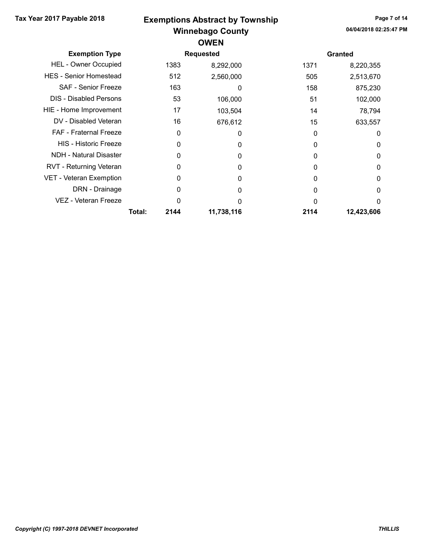## Winnebago County Tax Year 2017 Payable 2018 **Exemptions Abstract by Township** Page 7 of 14 **OWEN**

|                                |                  |      | UIVLIV     |                |            |
|--------------------------------|------------------|------|------------|----------------|------------|
| <b>Exemption Type</b>          | <b>Requested</b> |      |            | <b>Granted</b> |            |
| <b>HEL - Owner Occupied</b>    |                  | 1383 | 8,292,000  | 1371           | 8,220,355  |
| <b>HES</b> - Senior Homestead  |                  | 512  | 2,560,000  | 505            | 2,513,670  |
| <b>SAF - Senior Freeze</b>     |                  | 163  | O          | 158            | 875,230    |
| <b>DIS</b> - Disabled Persons  |                  | 53   | 106,000    | 51             | 102,000    |
| HIE - Home Improvement         |                  | 17   | 103,504    | 14             | 78,794     |
| DV - Disabled Veteran          |                  | 16   | 676,612    | 15             | 633,557    |
| <b>FAF</b> - Fraternal Freeze  |                  | 0    | 0          | $\Omega$       | 0          |
| HIS - Historic Freeze          |                  | 0    | 0          | 0              | 0          |
| <b>NDH - Natural Disaster</b>  |                  | O    | 0          | O              | 0          |
| RVT - Returning Veteran        |                  | 0    | 0          | O              | 0          |
| <b>VET - Veteran Exemption</b> |                  | 0    | 0          | O              | 0          |
| DRN - Drainage                 |                  | 0    | O          | O              | 0          |
| VEZ - Veteran Freeze           |                  | 0    | U          |                | 0          |
|                                | Total:           | 2144 | 11,738,116 | 2114           | 12,423,606 |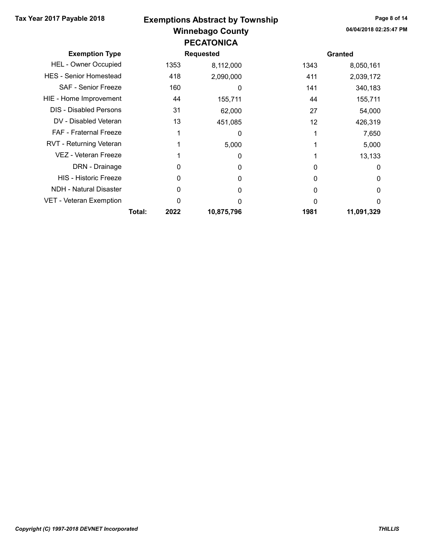#### Winnebago County Tax Year 2017 Payable 2018 **Exemptions Abstract by Township** Page 8 of 14 PECATONICA

| <b>Exemption Type</b>         |        |      | <b>Requested</b> |      | <b>Granted</b> |
|-------------------------------|--------|------|------------------|------|----------------|
| <b>HEL - Owner Occupied</b>   |        | 1353 | 8,112,000        | 1343 | 8,050,161      |
| <b>HES - Senior Homestead</b> |        | 418  | 2,090,000        | 411  | 2,039,172      |
| <b>SAF - Senior Freeze</b>    |        | 160  | 0                | 141  | 340,183        |
| HIE - Home Improvement        |        | 44   | 155,711          | 44   | 155,711        |
| <b>DIS - Disabled Persons</b> |        | 31   | 62,000           | 27   | 54,000         |
| DV - Disabled Veteran         |        | 13   | 451,085          | 12   | 426,319        |
| <b>FAF</b> - Fraternal Freeze |        |      | 0                |      | 7,650          |
| RVT - Returning Veteran       |        |      | 5,000            |      | 5,000          |
| VEZ - Veteran Freeze          |        |      | 0                |      | 13,133         |
| DRN - Drainage                |        | O    | 0                | O    | 0              |
| <b>HIS - Historic Freeze</b>  |        | 0    | 0                | O    | 0              |
| <b>NDH - Natural Disaster</b> |        | O    | 0                | 0    | 0              |
| VET - Veteran Exemption       |        | O    | ი                | O    | 0              |
|                               | Total: | 2022 | 10,875,796       | 1981 | 11,091,329     |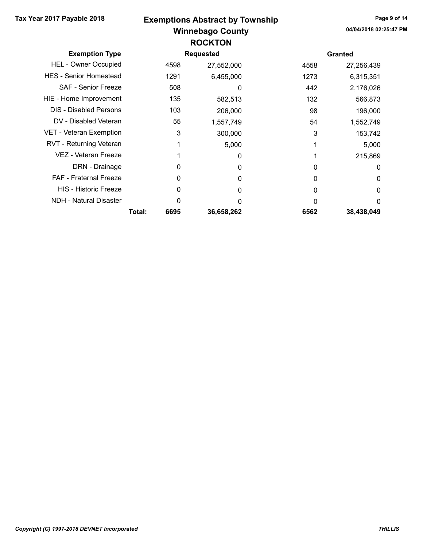## Winnebago County Tax Year 2017 Payable 2018 **Exemptions Abstract by Township** Page 9 of 14 **ROCKTON**

| <b>Exemption Type</b>          |        |      | <b>Requested</b> |      | <b>Granted</b> |
|--------------------------------|--------|------|------------------|------|----------------|
| <b>HEL - Owner Occupied</b>    |        | 4598 | 27,552,000       | 4558 | 27,256,439     |
| <b>HES</b> - Senior Homestead  |        | 1291 | 6,455,000        | 1273 | 6,315,351      |
| SAF - Senior Freeze            |        | 508  | 0                | 442  | 2,176,026      |
| HIE - Home Improvement         |        | 135  | 582,513          | 132  | 566,873        |
| <b>DIS - Disabled Persons</b>  |        | 103  | 206,000          | 98   | 196,000        |
| DV - Disabled Veteran          |        | 55   | 1,557,749        | 54   | 1,552,749      |
| <b>VET - Veteran Exemption</b> |        | 3    | 300,000          | 3    | 153,742        |
| RVT - Returning Veteran        |        |      | 5,000            |      | 5,000          |
| VEZ - Veteran Freeze           |        |      | 0                |      | 215,869        |
| DRN - Drainage                 |        | 0    | 0                | 0    | 0              |
| <b>FAF</b> - Fraternal Freeze  |        | 0    | 0                | 0    | 0              |
| <b>HIS - Historic Freeze</b>   |        | 0    | 0                | 0    | 0              |
| <b>NDH</b> - Natural Disaster  |        | 0    | 0                | U    | 0              |
|                                | Total: | 6695 | 36,658,262       | 6562 | 38,438,049     |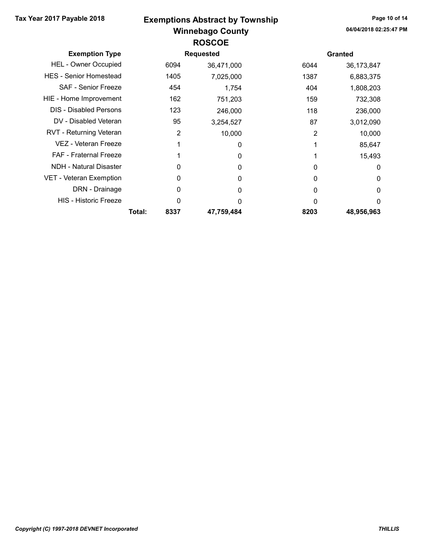### Winnebago County Tax Year 2017 Payable 2018 **Exemptions Abstract by Township** Page 10 of 14 ROSCOE

| <b>Exemption Type</b>         |        |      | Requested  |          | <b>Granted</b> |
|-------------------------------|--------|------|------------|----------|----------------|
| <b>HEL - Owner Occupied</b>   |        | 6094 | 36,471,000 | 6044     | 36,173,847     |
| <b>HES</b> - Senior Homestead |        | 1405 | 7,025,000  | 1387     | 6,883,375      |
| <b>SAF - Senior Freeze</b>    |        | 454  | 1,754      | 404      | 1,808,203      |
| HIE - Home Improvement        |        | 162  | 751,203    | 159      | 732,308        |
| <b>DIS</b> - Disabled Persons |        | 123  | 246,000    | 118      | 236,000        |
| DV - Disabled Veteran         |        | 95   | 3,254,527  | 87       | 3,012,090      |
| RVT - Returning Veteran       |        | 2    | 10,000     | 2        | 10,000         |
| VEZ - Veteran Freeze          |        |      | 0          |          | 85,647         |
| <b>FAF - Fraternal Freeze</b> |        |      | 0          |          | 15,493         |
| <b>NDH - Natural Disaster</b> |        | 0    | $\Omega$   | 0        | 0              |
| VET - Veteran Exemption       |        | 0    | $\Omega$   | $\Omega$ | 0              |
| DRN - Drainage                |        | 0    | 0          | 0        | 0              |
| <b>HIS - Historic Freeze</b>  |        | 0    | 0          | 0        | 0              |
|                               | Total: | 8337 | 47,759,484 | 8203     | 48,956,963     |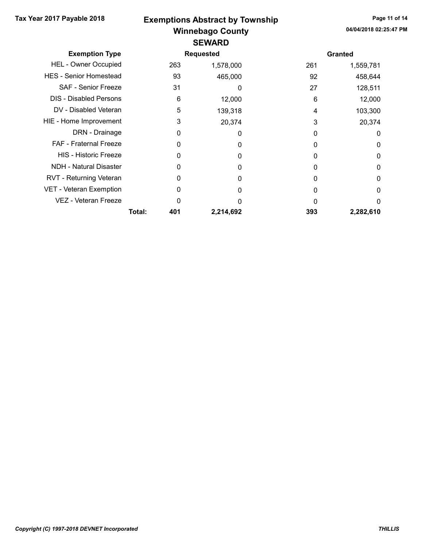### Winnebago County Tax Year 2017 Payable 2018 **Exemptions Abstract by Township** Page 11 of 14 SEWARD

| <b>Exemption Type</b>         |        |     | <b>Requested</b> |     | <b>Granted</b> |
|-------------------------------|--------|-----|------------------|-----|----------------|
| <b>HEL - Owner Occupied</b>   |        | 263 | 1,578,000        | 261 | 1,559,781      |
| <b>HES - Senior Homestead</b> |        | 93  | 465,000          | 92  | 458,644        |
| SAF - Senior Freeze           |        | 31  | 0                | 27  | 128,511        |
| <b>DIS - Disabled Persons</b> |        | 6   | 12,000           | 6   | 12,000         |
| DV - Disabled Veteran         |        | 5   | 139,318          | 4   | 103,300        |
| HIE - Home Improvement        |        | 3   | 20,374           | 3   | 20,374         |
| DRN - Drainage                |        | 0   | 0                | 0   | 0              |
| FAF - Fraternal Freeze        |        | 0   | O                | 0   | 0              |
| <b>HIS - Historic Freeze</b>  |        | 0   | 0                | 0   | 0              |
| <b>NDH - Natural Disaster</b> |        | O   | ი                | 0   | 0              |
| RVT - Returning Veteran       |        | 0   | O                | O   | 0              |
| VET - Veteran Exemption       |        | 0   | 0                | 0   | 0              |
| VEZ - Veteran Freeze          |        | ი   | ი                | U   | 0              |
|                               | Total: | 401 | 2,214,692        | 393 | 2,282,610      |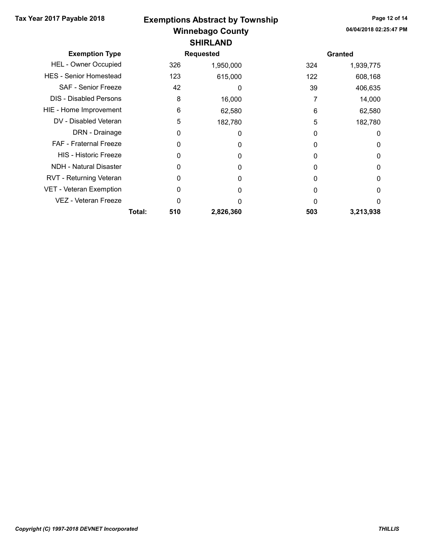#### Winnebago County Tax Year 2017 Payable 2018 **Exemptions Abstract by Township** Page 12 of 14 SHIRLAND

| <b>Exemption Type</b>         |        |     | <b>Requested</b> |     | <b>Granted</b> |
|-------------------------------|--------|-----|------------------|-----|----------------|
| <b>HEL - Owner Occupied</b>   |        | 326 | 1,950,000        | 324 | 1,939,775      |
| <b>HES</b> - Senior Homestead |        | 123 | 615,000          | 122 | 608,168        |
| <b>SAF - Senior Freeze</b>    |        | 42  | 0                | 39  | 406,635        |
| <b>DIS</b> - Disabled Persons |        | 8   | 16,000           |     | 14,000         |
| HIE - Home Improvement        |        | 6   | 62,580           | 6   | 62,580         |
| DV - Disabled Veteran         |        | 5   | 182,780          | 5   | 182,780        |
| DRN - Drainage                |        | 0   | 0                | 0   | 0              |
| FAF - Fraternal Freeze        |        | 0   | O                | 0   | 0              |
| <b>HIS - Historic Freeze</b>  |        | 0   | 0                | 0   | 0              |
| <b>NDH - Natural Disaster</b> |        | 0   | O                | 0   | 0              |
| RVT - Returning Veteran       |        | 0   | O                | 0   | 0              |
| VET - Veteran Exemption       |        | ი   | 0                | 0   | 0              |
| VEZ - Veteran Freeze          |        | 0   | ი                | 0   | 0              |
|                               | Total: | 510 | 2,826,360        | 503 | 3,213,938      |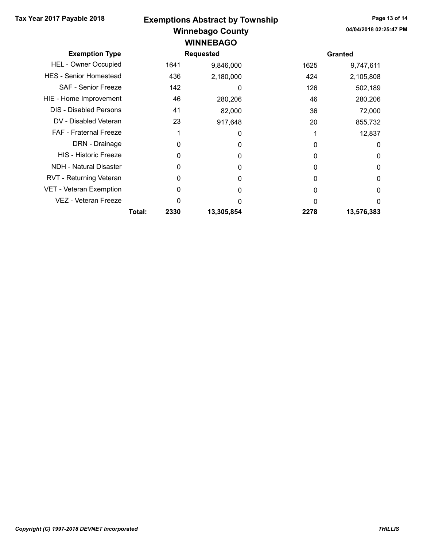### Winnebago County Tax Year 2017 Payable 2018 **Exemptions Abstract by Township** Page 13 of 14 WINNEBAGO

| <b>Exemption Type</b>          |        | <b>Requested</b> |            |      | <b>Granted</b> |  |
|--------------------------------|--------|------------------|------------|------|----------------|--|
| <b>HEL - Owner Occupied</b>    |        | 1641             | 9,846,000  | 1625 | 9,747,611      |  |
| <b>HES</b> - Senior Homestead  |        | 436              | 2,180,000  | 424  | 2,105,808      |  |
| <b>SAF - Senior Freeze</b>     |        | 142              | 0          | 126  | 502,189        |  |
| HIE - Home Improvement         |        | 46               | 280,206    | 46   | 280,206        |  |
| <b>DIS - Disabled Persons</b>  |        | 41               | 82,000     | 36   | 72,000         |  |
| DV - Disabled Veteran          |        | 23               | 917,648    | 20   | 855,732        |  |
| <b>FAF</b> - Fraternal Freeze  |        |                  | 0          |      | 12,837         |  |
| DRN - Drainage                 |        | 0                | 0          |      | 0              |  |
| <b>HIS - Historic Freeze</b>   |        | 0                | 0          | 0    | 0              |  |
| <b>NDH - Natural Disaster</b>  |        | 0                | $\Omega$   |      | 0              |  |
| RVT - Returning Veteran        |        | 0                | 0          | 0    | 0              |  |
| <b>VET - Veteran Exemption</b> |        | 0                | 0          | 0    | 0              |  |
| VEZ - Veteran Freeze           |        | ი                | ŋ          |      | 0              |  |
|                                | Total: | 2330             | 13,305,854 | 2278 | 13,576,383     |  |